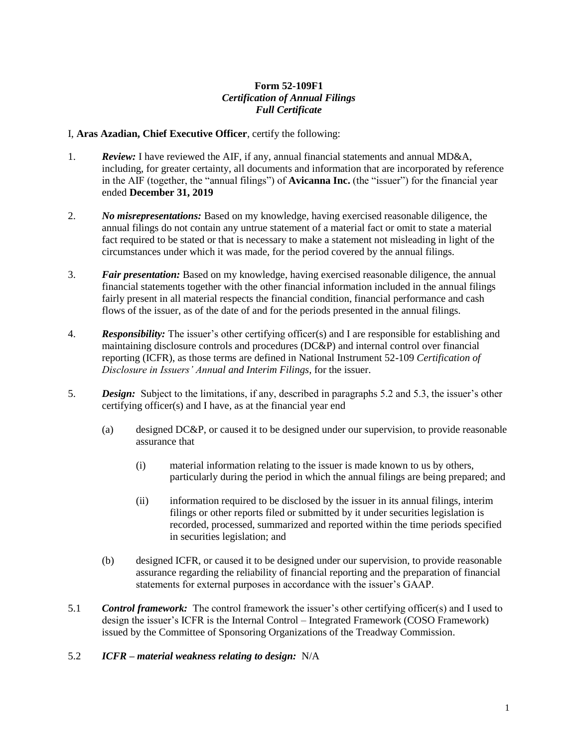## **Form 52-109F1** *Certification of Annual Filings Full Certificate*

## I, **Aras Azadian, Chief Executive Officer**, certify the following:

- 1. *Review:* I have reviewed the AIF, if any, annual financial statements and annual MD&A, including, for greater certainty, all documents and information that are incorporated by reference in the AIF (together, the "annual filings") of **Avicanna Inc.** (the "issuer") for the financial year ended **December 31, 2019**
- 2. *No misrepresentations:* Based on my knowledge, having exercised reasonable diligence, the annual filings do not contain any untrue statement of a material fact or omit to state a material fact required to be stated or that is necessary to make a statement not misleading in light of the circumstances under which it was made, for the period covered by the annual filings.
- 3. *Fair presentation:* Based on my knowledge, having exercised reasonable diligence, the annual financial statements together with the other financial information included in the annual filings fairly present in all material respects the financial condition, financial performance and cash flows of the issuer, as of the date of and for the periods presented in the annual filings.
- 4. *Responsibility:* The issuer's other certifying officer(s) and I are responsible for establishing and maintaining disclosure controls and procedures (DC&P) and internal control over financial reporting (ICFR), as those terms are defined in National Instrument 52-109 *Certification of Disclosure in Issuers' Annual and Interim Filings*, for the issuer.
- 5. *Design:* Subject to the limitations, if any, described in paragraphs 5.2 and 5.3, the issuer's other certifying officer(s) and I have, as at the financial year end
	- (a) designed DC&P, or caused it to be designed under our supervision, to provide reasonable assurance that
		- (i) material information relating to the issuer is made known to us by others, particularly during the period in which the annual filings are being prepared; and
		- (ii) information required to be disclosed by the issuer in its annual filings, interim filings or other reports filed or submitted by it under securities legislation is recorded, processed, summarized and reported within the time periods specified in securities legislation; and
	- (b) designed ICFR, or caused it to be designed under our supervision, to provide reasonable assurance regarding the reliability of financial reporting and the preparation of financial statements for external purposes in accordance with the issuer's GAAP.
- 5.1 *Control framework:* The control framework the issuer's other certifying officer(s) and I used to design the issuer's ICFR is the Internal Control – Integrated Framework (COSO Framework) issued by the Committee of Sponsoring Organizations of the Treadway Commission.

## 5.2 *ICFR – material weakness relating to design:* N/A